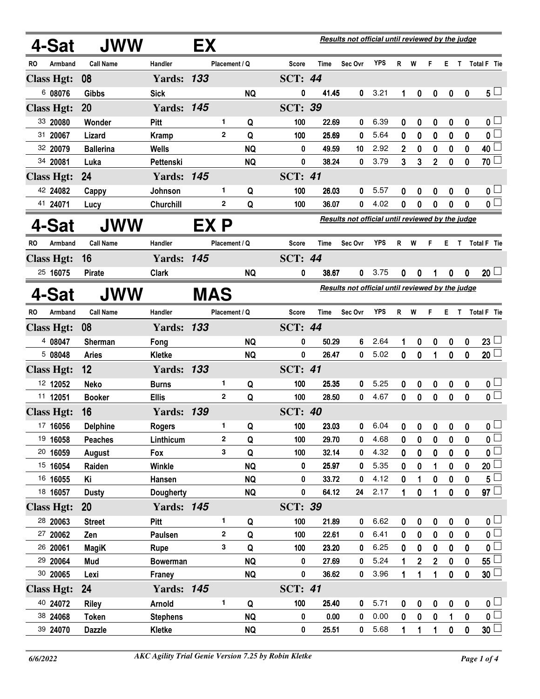|           | 4-Sat                | <b>JWW</b>          |                                  | EX         |                    |                |                |                | Results not official until reviewed by the judge |              |              |                                 |                        |               |                  |                                            |
|-----------|----------------------|---------------------|----------------------------------|------------|--------------------|----------------|----------------|----------------|--------------------------------------------------|--------------|--------------|---------------------------------|------------------------|---------------|------------------|--------------------------------------------|
| RO        | Armband              | <b>Call Name</b>    | Handler                          |            | Placement / Q      |                | Score          | Time           | Sec Ovr                                          | <b>YPS</b>   |              | R W                             | F                      |               |                  | E T Total F Tie                            |
|           | <b>Class Hgt:</b>    | 08                  | <b>Yards: 133</b>                |            |                    |                | <b>SCT: 44</b> |                |                                                  |              |              |                                 |                        |               |                  |                                            |
|           | 6 08076              | Gibbs               | <b>Sick</b>                      |            |                    | <b>NQ</b>      | 0              | 41.45          | 0                                                | 3.21         | 1            | 0                               | 0                      | 0             | 0                | $5^{\perp}$                                |
|           | <b>Class Hgt:</b>    | <b>20</b>           | <b>Yards: 145</b>                |            |                    |                | <b>SCT: 39</b> |                |                                                  |              |              |                                 |                        |               |                  |                                            |
|           | 33 20080             | Wonder              | <b>Pitt</b>                      |            | 1                  | Q              | 100            | 22.69          | 0                                                | 6.39         | 0            | 0                               | 0                      | 0             | 0                | 0 <sub>0</sub>                             |
|           | 31 20067             | Lizard              | <b>Kramp</b>                     |            | $\mathbf{2}$       | Q              | 100            | 25.69          | 0                                                | 5.64         | 0            | $\bf{0}$                        | 0                      | 0             | 0                | $\mathfrak{o} \square$                     |
|           | 32 20079             | <b>Ballerina</b>    | Wells                            |            |                    | <b>NQ</b>      | 0              | 49.59          | 10                                               | 2.92         | $\mathbf{2}$ | 0                               | 0                      | 0             | 0                | $40\Box$                                   |
|           | 34 20081             | Luka                | Pettenski                        |            |                    | <b>NQ</b>      | 0              | 38.24          | 0                                                | 3.79         | 3            | 3                               | $\overline{2}$         | $\mathbf 0$   | 0                | 70 <sup>2</sup>                            |
|           | <b>Class Hgt:</b>    | 24                  | <b>Yards:</b>                    | 145        |                    |                | <b>SCT: 41</b> |                |                                                  |              |              |                                 |                        |               |                  |                                            |
|           | 42 24082             | Cappy               | Johnson                          |            | 1.                 | Q              | 100            | 26.03          | 0                                                | 5.57         | 0            | 0                               | 0                      | 0             | 0                | 0 <sub>1</sub>                             |
|           | 41 24071             | Lucy                | Churchill                        |            | $\mathbf{2}$       | Q              | 100            | 36.07          | 0                                                | 4.02         | 0            | 0                               | 0                      | 0             | 0                | $0^{\Box}$                                 |
|           | 4-Sat                | JWW                 |                                  | EX P       |                    |                |                |                | Results not official until reviewed by the judge |              |              |                                 |                        |               |                  |                                            |
| RO.       | Armband              | <b>Call Name</b>    | Handler                          |            | Placement / Q      |                | <b>Score</b>   | Time           | Sec Ovr                                          | <b>YPS</b>   |              | R W                             | F                      |               |                  | E T Total F Tie                            |
|           | <b>Class Hgt:</b>    | 16                  | <b>Yards: 145</b>                |            |                    |                | <b>SCT: 44</b> |                |                                                  |              |              |                                 |                        |               |                  |                                            |
|           | 25 16075             | <b>Pirate</b>       | <b>Clark</b>                     |            |                    | <b>NQ</b>      | 0              | 38.67          | 0                                                | 3.75         | 0            | 0                               | 1                      | 0             | $\mathbf 0$      | $20\perp$                                  |
|           | 4-Sat                | <b>JWW</b>          |                                  | <b>MAS</b> |                    |                |                |                | Results not official until reviewed by the judge |              |              |                                 |                        |               |                  |                                            |
|           |                      |                     |                                  |            |                    |                |                |                |                                                  |              |              |                                 |                        |               |                  |                                            |
| <b>RO</b> | Armband              | <b>Call Name</b>    | Handler                          |            | Placement / Q      |                | Score          | <b>Time</b>    | Sec Ovr                                          | <b>YPS</b>   | R            | W                               | F                      | ET.           |                  | Total F Tie                                |
|           | <b>Class Hgt:</b>    | 08                  | <b>Yards: 133</b>                |            |                    |                | <b>SCT: 44</b> |                |                                                  |              |              |                                 |                        |               |                  |                                            |
|           | 4 08047              | <b>Sherman</b>      | Fong                             |            |                    | <b>NQ</b>      | 0              | 50.29          | 6                                                | 2.64         | 1            | 0                               | 0                      | 0             | $\boldsymbol{0}$ | 23 <sup>1</sup>                            |
|           | 5 08048              | <b>Aries</b>        | <b>Kletke</b>                    |            |                    | <b>NQ</b>      | 0              | 26.47          | 0                                                | 5.02         | 0            | $\mathbf 0$                     | 1                      | $\bf{0}$      | 0                | $20\perp$                                  |
|           | <b>Class Hgt:</b>    | 12                  | <b>Yards: 133</b>                |            |                    |                | <b>SCT: 41</b> |                |                                                  |              |              |                                 |                        |               |                  |                                            |
|           | 12 12052             | <b>Neko</b>         | <b>Burns</b>                     |            | 1                  | Q              | 100            | 25.35          | 0                                                | 5.25         | 0            | 0                               | 0                      | 0             | 0                | 0 <sub>l</sub>                             |
|           | 11 12051             | <b>Booker</b>       | <b>Ellis</b>                     |            | $\mathbf{2}$       | Q              | 100            | 28.50          | 0                                                | 4.67         | 0            | $\mathbf{0}$                    | $\mathbf 0$            | $\mathbf 0$   | $\mathbf{0}$     | $\overline{\mathbf{0}}$                    |
|           | <b>Class Hgt:</b>    | 16                  | <b>Yards: 139</b>                |            |                    |                | <b>SCT: 40</b> |                |                                                  |              |              |                                 |                        |               |                  |                                            |
|           | 17 16056             | <b>Delphine</b>     | <b>Rogers</b>                    |            | 1.                 | Q              | 100            | 23.03          | $\mathbf 0$                                      | 6.04         |              | $0\quad 0\quad 0\quad 0\quad 0$ |                        |               |                  | 0 <sub>0</sub>                             |
|           | 19 16058             | <b>Peaches</b>      | Linthicum                        |            | $\mathbf{2}$       | Q              | 100            | 29.70          | 0                                                | 4.68         | 0            | 0                               | 0                      | 0             | 0                | 0                                          |
|           | 20 16059             | August              | Fox                              |            | 3                  | Q              | 100            | 32.14          | 0                                                | 4.32         | 0            | 0                               | 0                      | 0             | 0                | 0                                          |
|           | 15 16054             | Raiden              | Winkle                           |            |                    | <b>NQ</b>      | 0              | 25.97          | 0                                                | 5.35         | 0            | 0                               | 1                      | 0             | 0                | 20 $\mathsf{\mathsf{L}}$                   |
|           | 16 16055<br>18 16057 | Κi                  | Hansen                           |            |                    | <b>NQ</b>      | 0<br>0         | 33.72<br>64.12 | 0<br>24                                          | 4.12<br>2.17 | 0            | 1                               | 0                      | 0             | 0                | 5 <sup>5</sup><br>97 $\Box$                |
|           |                      | <b>Dusty</b>        | <b>Dougherty</b>                 |            |                    | <b>NQ</b>      |                |                |                                                  |              | 1            | 0                               | 1                      | $\pmb{0}$     | 0                |                                            |
|           | <b>Class Hgt:</b>    | <b>20</b>           | <b>Yards: 145</b>                |            |                    |                | <b>SCT: 39</b> |                |                                                  |              |              |                                 |                        |               |                  |                                            |
|           | 28 20063             | <b>Street</b>       | Pitt                             |            | 1.<br>$\mathbf{2}$ | Q              | 100            | 21.89          | 0                                                | 6.62         | 0            | 0                               | 0                      | 0             | 0                | 0 <sub>1</sub><br>$\overline{\mathbf{0}}$  |
|           | 27 20062<br>26 20061 | Zen                 | Paulsen                          |            | 3                  | Q<br>Q         | 100            | 22.61<br>23.20 | 0<br>0                                           | 6.41<br>6.25 | 0            | 0                               | 0                      | $\bf{0}$      | 0                | $\mathbf{0}$                               |
|           | 29 20064             | <b>MagiK</b><br>Mud | Rupe                             |            |                    | <b>NQ</b>      | 100<br>0       | 27.69          | 0                                                | 5.24         | 0<br>1       | 0                               | $\mathbf 0$            | 0<br>$\bf{0}$ | 0<br>0           | $55 -$                                     |
|           | 30 20065             | Lexi                | <b>Bowerman</b><br>Franey        |            |                    | <b>NQ</b>      | 0              | 36.62          | 0                                                | 3.96         | 1            | 2<br>1                          | $\mathbf{2}$<br>1      | $\bf{0}$      | 0                | $30\sqcup$                                 |
|           |                      | 24                  |                                  |            |                    |                |                |                |                                                  |              |              |                                 |                        |               |                  |                                            |
|           | <b>Class Hgt:</b>    |                     | <b>Yards: 145</b>                |            | 1                  |                | <b>SCT: 41</b> |                |                                                  |              |              |                                 |                        |               |                  |                                            |
|           | 40 24072<br>38 24068 | <b>Riley</b>        | <b>Arnold</b><br><b>Stephens</b> |            |                    | Q<br><b>NQ</b> | 100<br>0       | 25.40<br>0.00  | 0<br>0                                           | 5.71<br>0.00 | 0<br>0       | 0<br>0                          | $\pmb{0}$<br>$\pmb{0}$ | $\bf{0}$      | 0<br>0           | 0 <sub>1</sub><br>$\mathfrak{o} \sqsubset$ |
|           | 39 24070             | <b>Token</b>        |                                  |            |                    | <b>NQ</b>      | 0              | 25.51          | 0                                                | 5.68         | 1            |                                 |                        | 1             |                  | $30\perp$                                  |
|           |                      | <b>Dazzle</b>       | Kletke                           |            |                    |                |                |                |                                                  |              |              | 1                               | 1                      | 0             | 0                |                                            |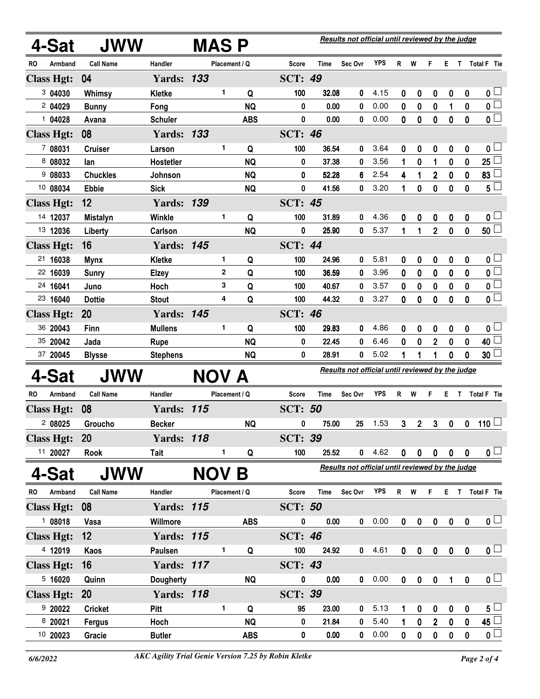|     | 4-Sat             | <b>JWW</b>       |                   | <b>MASP</b>  |               |            |                |             | Results not official until reviewed by the judge |                                                  |                                                  |                  |                |              |                         |                         |  |  |
|-----|-------------------|------------------|-------------------|--------------|---------------|------------|----------------|-------------|--------------------------------------------------|--------------------------------------------------|--------------------------------------------------|------------------|----------------|--------------|-------------------------|-------------------------|--|--|
| RO  | Armband           | <b>Call Name</b> | Handler           |              | Placement / Q |            | Score          | Time        | Sec Ovr                                          | <b>YPS</b>                                       | $\mathsf{R}$                                     | W                | F.             | Е.           |                         | T Total F Tie           |  |  |
|     | <b>Class Hgt:</b> | 04               | <b>Yards: 133</b> |              |               |            | <b>SCT: 49</b> |             |                                                  |                                                  |                                                  |                  |                |              |                         |                         |  |  |
|     | 304030            | Whimsy           | <b>Kletke</b>     |              | 1             | Q          | 100            | 32.08       | 0                                                | 4.15                                             | 0                                                | 0                | 0              | 0            | 0                       | 0 <sub>1</sub>          |  |  |
|     | 2 04029           | <b>Bunny</b>     | Fong              |              |               | <b>NQ</b>  | 0              | 0.00        | 0                                                | 0.00                                             | $\mathbf 0$                                      | $\bf{0}$         | $\bf{0}$       | 1            | $\bf{0}$                | $\overline{\mathbf{0}}$ |  |  |
|     | 1 04028           | Avana            | <b>Schuler</b>    |              |               | <b>ABS</b> | $\pmb{0}$      | 0.00        | 0                                                | 0.00                                             | 0                                                | $\mathbf 0$      | 0              | $\bf{0}$     | $\mathbf{0}$            | $\overline{\mathbf{0}}$ |  |  |
|     | <b>Class Hgt:</b> | 08               | <b>Yards: 133</b> |              |               |            | <b>SCT: 46</b> |             |                                                  |                                                  |                                                  |                  |                |              |                         |                         |  |  |
|     | 7 08031           | <b>Cruiser</b>   | Larson            |              | 1             | Q          | 100            | 36.54       | 0                                                | 3.64                                             | 0                                                | 0                | 0              | 0            | 0                       | 0 l                     |  |  |
|     | 8 08032           | lan              | Hostetler         |              |               | <b>NQ</b>  | 0              | 37.38       | 0                                                | 3.56                                             | 1                                                | 0                | 1              | 0            | 0                       | 25 <sup>1</sup>         |  |  |
|     | 9 08033           | <b>Chuckles</b>  | Johnson           |              |               | <b>NQ</b>  | 0              | 52.28       | 6                                                | 2.54                                             | 4                                                | 1                | 2              | 0            | 0                       | 83 <sup>1</sup>         |  |  |
|     | 10 08034          | <b>Ebbie</b>     | <b>Sick</b>       |              |               | <b>NQ</b>  | 0              | 41.56       | 0                                                | 3.20                                             | 1                                                | 0                | 0              | 0            | 0                       | $5^{\square}$           |  |  |
|     | <b>Class Hgt:</b> | 12               | <b>Yards: 139</b> |              |               |            | <b>SCT: 45</b> |             |                                                  |                                                  |                                                  |                  |                |              |                         |                         |  |  |
|     | 14 12037          | <b>Mistalyn</b>  | <b>Winkle</b>     |              | 1             | Q          | 100            | 31.89       | 0                                                | 4.36                                             | 0                                                | 0                | 0              | 0            | 0                       | 0 <sub>1</sub>          |  |  |
|     | 13 12036          | Liberty          | Carlson           |              |               | <b>NQ</b>  | 0              | 25.90       | 0                                                | 5.37                                             | 1                                                | 1                | $\overline{2}$ | 0            | 0                       | 50 <sup>1</sup>         |  |  |
|     | <b>Class Hgt:</b> | 16               | <b>Yards: 145</b> |              |               |            | <b>SCT: 44</b> |             |                                                  |                                                  |                                                  |                  |                |              |                         |                         |  |  |
|     | 21 16038          | <b>Mynx</b>      | <b>Kletke</b>     |              | 1             | Q          | 100            | 24.96       | 0                                                | 5.81                                             | 0                                                | 0                | 0              | 0            | 0                       | 0 <sub>1</sub>          |  |  |
|     | 22 16039          | <b>Sunry</b>     | <b>Elzey</b>      |              | $\mathbf 2$   | Q          | 100            | 36.59       | 0                                                | 3.96                                             | 0                                                | 0                | 0              | 0            | 0                       | $\overline{\mathbf{0}}$ |  |  |
|     | 24 16041          | Juno             | Hoch              |              | 3             | Q          | 100            | 40.67       | 0                                                | 3.57                                             | 0                                                | 0                | 0              | 0            | 0                       | $\overline{\mathbf{0}}$ |  |  |
|     | 23 16040          | <b>Dottie</b>    | <b>Stout</b>      |              | 4             | Q          | 100            | 44.32       | 0                                                | 3.27                                             | 0                                                | 0                | 0              | 0            | 0                       | $\overline{\mathbf{0}}$ |  |  |
|     | <b>Class Hgt:</b> | 20               | <b>Yards: 145</b> |              |               |            | <b>SCT: 46</b> |             |                                                  |                                                  |                                                  |                  |                |              |                         |                         |  |  |
|     | 36 20043          | Finn             | <b>Mullens</b>    |              | 1.            | Q          | 100            | 29.83       | 0                                                | 4.86                                             | 0                                                | 0                | 0              | 0            | 0                       | 0 <sub>1</sub>          |  |  |
|     | 35 20042          | Jada             | <b>Rupe</b>       |              |               | <b>NQ</b>  | 0              | 22.45       | 0                                                | 6.46                                             | 0                                                | 0                | $\overline{2}$ | 0            | $\bf{0}$                | 40 <sup>1</sup>         |  |  |
|     | 37 20045          | <b>Blysse</b>    | <b>Stephens</b>   |              |               | <b>NQ</b>  | 0              | 28.91       | 0                                                | 5.02                                             | 1                                                | 1                | 1              | 0            | $\mathbf 0$             | 30 <sup>1</sup>         |  |  |
|     | 4-Sat             | JWW              |                   | NOV A        |               |            |                |             |                                                  | Results not official until reviewed by the judge |                                                  |                  |                |              |                         |                         |  |  |
| RO. | Armband           | <b>Call Name</b> | Handler           |              | Placement / Q |            | Score          | Time        | Sec Ovr                                          | <b>YPS</b>                                       | R                                                | W                | F              | E.           | T.                      | Total F Tie             |  |  |
|     | <b>Class Hgt:</b> | 08               | <b>Yards: 115</b> |              |               |            | <b>SCT: 50</b> |             |                                                  |                                                  |                                                  |                  |                |              |                         |                         |  |  |
|     | 2 08025           | Groucho          | <b>Becker</b>     |              |               | <b>NQ</b>  | 0              | 75.00       | 25                                               | 1.53                                             | 3                                                | $\boldsymbol{2}$ | 3              | $\pmb{0}$    | 0                       | 110 $\Box$              |  |  |
|     | <b>Class Hgt:</b> | <b>20</b>        | <b>Yards: 118</b> |              |               |            | <b>SCT: 39</b> |             |                                                  |                                                  |                                                  |                  |                |              |                         |                         |  |  |
|     | 11 20027          | Rook             | Tait              |              | 1             | Q          | 100            | 25.52       | 0                                                | 4.62                                             | $\mathbf 0$                                      | $\pmb{0}$        | $\mathbf 0$    | $\mathbf 0$  | $\overline{\mathbf{0}}$ | $\mathbf{0}$ $\Box$     |  |  |
|     | 4-Sat             | <b>JWW</b>       |                   | <b>NOV B</b> |               |            |                |             |                                                  |                                                  | Results not official until reviewed by the judge |                  |                |              |                         |                         |  |  |
| RO  | Armband           | <b>Call Name</b> | Handler           |              | Placement / Q |            | Score          | <b>Time</b> | Sec Ovr                                          | <b>YPS</b>                                       |                                                  | R W              | F.             |              |                         | E T Total F Tie         |  |  |
|     | <b>Class Hgt:</b> | 08               | <b>Yards: 115</b> |              |               |            | <b>SCT: 50</b> |             |                                                  |                                                  |                                                  |                  |                |              |                         |                         |  |  |
|     | 108018            | Vasa             | Willmore          |              |               | <b>ABS</b> | 0              | 0.00        | 0                                                | 0.00                                             | 0                                                | $\mathbf 0$      | 0              | $\pmb{0}$    | $\pmb{0}$               | $\mathbf{0}$ $\Box$     |  |  |
|     | <b>Class Hgt:</b> | 12               | <b>Yards: 115</b> |              |               |            | <b>SCT: 46</b> |             |                                                  |                                                  |                                                  |                  |                |              |                         |                         |  |  |
|     | 4 12019           | Kaos             | Paulsen           |              | 1             | Q          | 100            | 24.92       | $\mathbf 0$                                      | 4.61                                             | $\mathbf 0$                                      | 0                | $\pmb{0}$      | $\pmb{0}$    | $\boldsymbol{0}$        | 0 <sub>1</sub>          |  |  |
|     | <b>Class Hgt:</b> | 16               | <b>Yards: 117</b> |              |               |            | <b>SCT: 43</b> |             |                                                  |                                                  |                                                  |                  |                |              |                         |                         |  |  |
|     | 5 16020           | Quinn            | Dougherty         |              |               | <b>NQ</b>  | 0              | 0.00        | 0                                                | 0.00                                             | $\mathbf 0$                                      | $\pmb{0}$        | $\pmb{0}$      | $\mathbf{1}$ | $\pmb{0}$               | 0 <sub>1</sub>          |  |  |
|     | <b>Class Hgt:</b> | <b>20</b>        | <b>Yards: 118</b> |              |               |            | <b>SCT: 39</b> |             |                                                  |                                                  |                                                  |                  |                |              |                         |                         |  |  |
|     | 920022            | <b>Cricket</b>   | Pitt              |              | 1             | Q          | 95             | 23.00       | 0                                                | 5.13                                             | 1                                                | 0                | 0              | 0            | 0                       | 5 <sub>1</sub>          |  |  |
|     | 8 20021           | Fergus           | Hoch              |              |               | <b>NQ</b>  | 0              | 21.84       | 0                                                | 5.40                                             | 1                                                | 0                | $\overline{2}$ | $\pmb{0}$    | 0                       | $\overline{45}$         |  |  |
|     | 10 20023          | Gracie           | <b>Butler</b>     |              |               | <b>ABS</b> | 0              | 0.00        | 0                                                | 0.00                                             | 0                                                | 0                | 0              | $\pmb{0}$    | 0                       | $\overline{\mathbf{0}}$ |  |  |
|     |                   |                  |                   |              |               |            |                |             |                                                  |                                                  |                                                  |                  |                |              |                         |                         |  |  |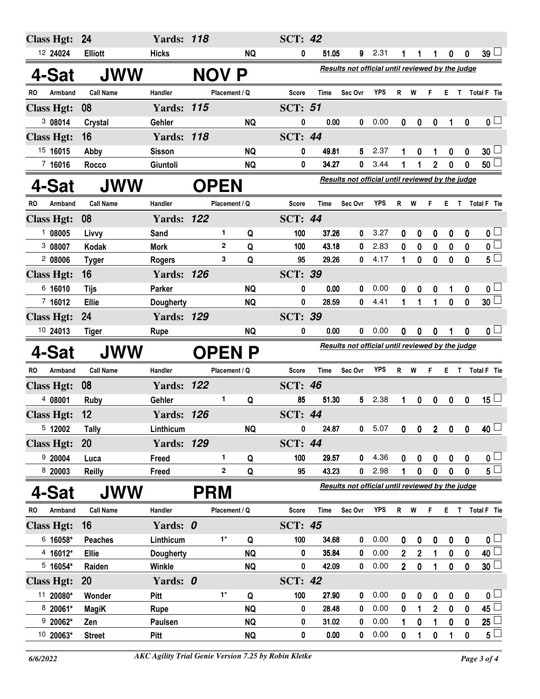| <b>Class Hgt:</b>      | 24                   | <b>Yards: 118</b>      |             |               |                        | <b>SCT: 42</b> |               |                                                  |              |                |                  |                         |                                                  |              |                         |  |
|------------------------|----------------------|------------------------|-------------|---------------|------------------------|----------------|---------------|--------------------------------------------------|--------------|----------------|------------------|-------------------------|--------------------------------------------------|--------------|-------------------------|--|
| 12 24024               | <b>Elliott</b>       | <b>Hicks</b>           |             |               | <b>NQ</b>              | 0              | 51.05         | 9                                                | 2.31         | 1              | 1                | $\mathbf{1}$            | $\bf{0}$                                         | $\mathbf 0$  | $39\lfloor$             |  |
| 4-Sat                  | <b>JWW</b>           |                        | <b>NOV</b>  |               | P                      |                |               | Results not official until reviewed by the judge |              |                |                  |                         |                                                  |              |                         |  |
| Armband<br>RO.         | <b>Call Name</b>     | Handler                |             | Placement / Q |                        | Score          | Time          | Sec Ovr                                          | <b>YPS</b>   | R              | W                | F                       | E.                                               | T            | Total F Tie             |  |
| <b>Class Hgt:</b>      | 08                   | <b>Yards: 115</b>      |             |               |                        | <b>SCT: 51</b> |               |                                                  |              |                |                  |                         |                                                  |              |                         |  |
| 3 08014                | Crystal              | Gehler                 |             |               | <b>NQ</b>              | 0              | 0.00          | 0                                                | 0.00         | 0              | 0                | $\boldsymbol{0}$        | 1                                                | $\mathbf 0$  | $\mathbf{0} \Box$       |  |
| <b>Class Hgt:</b>      | 16                   | <b>Yards: 118</b>      |             |               |                        | <b>SCT: 44</b> |               |                                                  |              |                |                  |                         |                                                  |              |                         |  |
| 15 16015               | Abby                 | <b>Sisson</b>          |             |               | <b>NQ</b>              | 0              | 49.81         | 5                                                | 2.37         | 1              | 0                |                         | 0                                                | 0            | $30\perp$               |  |
| 7 16016                | Rocco                | Giuntoli               |             |               | <b>NQ</b>              | 0              | 34.27         | 0                                                | 3.44         | 1              | 1                | $\overline{2}$          | 0                                                | 0            | 50 <sup>1</sup>         |  |
| 4-Sat                  | <b>JWW</b>           |                        | <b>OPEN</b> |               |                        |                |               |                                                  |              |                |                  |                         | Results not official until reviewed by the judge |              |                         |  |
| <b>RO</b><br>Armband   | <b>Call Name</b>     | Handler                |             | Placement / Q |                        | Score          | <b>Time</b>   | Sec Ovr                                          | <b>YPS</b>   | R              | W                | F                       | Е                                                | T            | Total F Tie             |  |
| <b>Class Hgt:</b>      | 08                   | <b>Yards: 122</b>      |             |               |                        | <b>SCT: 44</b> |               |                                                  |              |                |                  |                         |                                                  |              |                         |  |
| 108005                 | Livvy                | Sand                   |             | 1.            | Q                      | 100            | 37.26         | 0                                                | 3.27         | 0              | 0                | 0                       | 0                                                | 0            | 0 <sub>1</sub>          |  |
| 3 08007                | Kodak                | <b>Mork</b>            |             | $\mathbf{2}$  | Q                      | 100            | 43.18         | 0                                                | 2.83         | 0              | 0                | 0                       | 0                                                | 0            | $\overline{\mathbf{0}}$ |  |
| 208006                 | <b>Tyger</b>         | <b>Rogers</b>          |             | 3             | Q                      | 95             | 29.26         | 0                                                | 4.17         | 1              | 0                | 0                       | 0                                                | 0            | $5^{\square}$           |  |
| <b>Class Hgt:</b>      | 16                   | <b>Yards: 126</b>      |             |               |                        | <b>SCT: 39</b> |               |                                                  |              |                |                  |                         |                                                  |              |                         |  |
| 6 16010                | <b>Tijs</b>          | Parker                 |             |               | <b>NQ</b>              | 0              | 0.00          | 0                                                | 0.00         | 0              | 0                | 0                       | 1                                                | 0            | 0 <sub>1</sub>          |  |
| 7,16012                | Ellie                | <b>Dougherty</b>       |             |               | <b>NQ</b>              | 0              | 28.59         | 0                                                | 4.41         | 1              | 1                | 1                       | 0                                                | 0            | $\overline{30}$         |  |
| <b>Class Hgt:</b>      | 24                   | <b>Yards: 129</b>      |             |               |                        | <b>SCT: 39</b> |               |                                                  |              |                |                  |                         |                                                  |              |                         |  |
| 10 24013               | <b>Tiger</b>         | <b>Rupe</b>            |             |               | <b>NQ</b>              | 0              | 0.00          | 0                                                | 0.00         | 0              | 0                | 0                       |                                                  | $\bf{0}$     | 0 <sub>0</sub>          |  |
|                        |                      |                        |             |               |                        |                |               |                                                  |              |                |                  |                         |                                                  |              |                         |  |
| 4-Sat                  | <b>JWW</b>           |                        |             |               | <b>OPEN P</b>          |                |               | Results not official until reviewed by the judge |              |                |                  |                         |                                                  |              |                         |  |
| <b>RO</b><br>Armband   | <b>Call Name</b>     | Handler                |             | Placement / Q |                        | <b>Score</b>   | Time          | Sec Ovr                                          | <b>YPS</b>   | R              | W                | F                       | E.                                               | $\mathbf{T}$ | <b>Total F</b> Tie      |  |
| <b>Class Hgt:</b>      | 08                   | <b>Yards: 122</b>      |             |               |                        | <b>SCT: 46</b> |               |                                                  |              |                |                  |                         |                                                  |              |                         |  |
| 4 08001                | <b>Ruby</b>          | Gehler                 |             | 1             | Q                      | 85             | 51.30         | 5                                                | 2.38         | 1              | 0                | $\mathbf 0$             | $\mathbf 0$                                      | $\mathbf 0$  | $15 -$                  |  |
| <b>Class Hgt:</b>      | 12                   | <b>Yards: 126</b>      |             |               |                        | <b>SCT: 44</b> |               |                                                  |              |                |                  |                         |                                                  |              |                         |  |
| 5 12002                | Tally                | Linthicum              |             |               | <b>NQ</b>              | 0              | 24.87         | 0                                                | 5.07         | 0              | 0                | $\overline{\mathbf{2}}$ | $\mathbf 0$                                      | 0            | 40                      |  |
| <b>Class Hgt:</b>      | 20                   | <b>Yards: 129</b>      |             |               |                        | <b>SCT: 44</b> |               |                                                  |              |                |                  |                         |                                                  |              |                         |  |
| 920004                 | Luca                 | Freed                  |             | 1             | Q                      | 100            | 29.57         | 0                                                | 4.36         | 0              | 0                | 0                       | 0                                                | 0            | 0 <sub>0</sub>          |  |
| 8 20003                | <b>Reilly</b>        | Freed                  |             | 2             | Q                      | 95             | 43.23         | 0                                                | 2.98         | 1              | $\mathbf{0}$     | 0                       | 0                                                | $\mathbf{0}$ | $5\Box$                 |  |
| 4-Sat                  | <b>JWW</b>           |                        | <b>PRM</b>  |               |                        |                |               | Results not official until reviewed by the judge |              |                |                  |                         |                                                  |              |                         |  |
| Armband<br>RO          | <b>Call Name</b>     | Handler                |             | Placement / Q |                        | <b>Score</b>   | Time          | Sec Ovr                                          | YPS          |                | R W              | F                       |                                                  |              | E T Total F Tie         |  |
| <b>Class Hgt:</b>      | 16                   | Yards: 0               |             |               |                        | <b>SCT: 45</b> |               |                                                  |              |                |                  |                         |                                                  |              |                         |  |
| 6 16058*               | <b>Peaches</b>       | Linthicum              |             | $1^*$         | Q                      | 100            | 34.68         | 0                                                | 0.00         | 0              | 0                | $\boldsymbol{0}$        | 0                                                | 0            | $\mathbf{0}$ $\Box$     |  |
| 4 16012*               | <b>Ellie</b>         | Dougherty              |             |               | <b>NQ</b>              | 0              | 35.84         | 0                                                | 0.00         | $\overline{2}$ | $\mathbf{2}$     | 1                       | 0                                                | 0            | 40                      |  |
| $5$ 16054*             | Raiden               | Winkle                 |             |               | <b>NQ</b>              | 0              | 42.09         | 0                                                | 0.00         | 2 <sup>2</sup> | $\boldsymbol{0}$ | 1                       | $\boldsymbol{0}$                                 | 0            | 30 <sup>1</sup>         |  |
| <b>Class Hgt:</b>      | 20                   | Yards: 0               |             |               |                        | <b>SCT: 42</b> |               |                                                  |              |                |                  |                         |                                                  |              |                         |  |
| 11 20080*              | Wonder               | Pitt                   |             | $1^*$         | Q                      | 100            | 27.90         | 0                                                | 0.00         | 0              | 0                | 0                       | 0                                                | 0            | $0+$                    |  |
| 8 20061*               | <b>MagiK</b>         | Rupe                   |             |               | <b>NQ</b>              | 0              | 28.48         | 0                                                | 0.00         | 0              | 1                | $\overline{2}$          | 0                                                | 0            | 45                      |  |
| $920062*$<br>10 20063* | Zen<br><b>Street</b> | Paulsen<br><b>Pitt</b> |             |               | <b>NQ</b><br><b>NQ</b> | 0<br>0         | 31.02<br>0.00 | 0<br>0                                           | 0.00<br>0.00 | 1<br>0         | 0<br>1           | 1<br>0                  | 0                                                | 0<br>0       | 25<br>$5\sqcup$         |  |